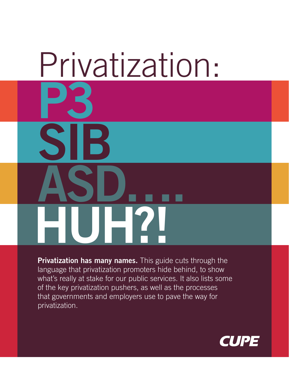# Privatization: **P3 SIB ASD…. HUH?!**

**Privatization has many names.** This guide cuts through the language that privatization promoters hide behind, to show what's really at stake for our public services. It also lists some of the key privatization pushers, as well as the processes that governments and employers use to pave the way for privatization.

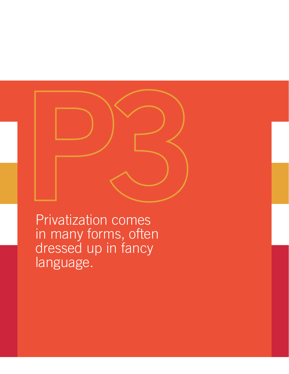

Privatization comes in many forms, often dressed up in fancy language.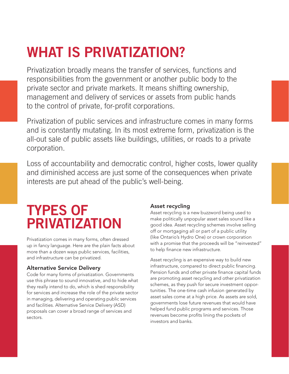## **WHAT IS PRIVATIZATION?**

Privatization broadly means the transfer of services, functions and responsibilities from the government or another public body to the private sector and private markets. It means shifting ownership, management and delivery of services or assets from public hands to the control of private, for-profit corporations.

Privatization of public services and infrastructure comes in many forms and is constantly mutating. In its most extreme form, privatization is the all-out sale of public assets like buildings, utilities, or roads to a private corporation.

Loss of accountability and democratic control, higher costs, lower quality and diminished access are just some of the consequences when private interests are put ahead of the public's well-being.

## **TYPES OF PRIVATIZATION**

Privatization comes in many forms, often dressed up in fancy language. Here are the plain facts about more than a dozen ways public services, facilities, and infrastructure can be privatized.

### Alternative Service Delivery

Code for many forms of privatization. Governments use this phrase to sound innovative, and to hide what they really intend to do, which is shed responsibility for services and increase the role of the private sector in managing, delivering and operating public services and facilities. Alternative Service Delivery (ASD) proposals can cover a broad range of services and sectors.

## Asset recycling

Asset recycling is a new buzzword being used to make politically unpopular asset sales sound like a good idea. Asset recycling schemes involve selling off or mortgaging all or part of a public utility (like Ontario's Hydro One) or crown corporation with a promise that the proceeds will be "reinvested" to help finance new infrastructure.

Asset recycling is an expensive way to build new infrastructure, compared to direct public financing. Pension funds and other private finance capital funds are promoting asset recycling and other privatization schemes, as they push for secure investment opportunities. The one-time cash infusion generated by asset sales come at a high price. As assets are sold, governments lose future revenues that would have helped fund public programs and services. Those revenues become profits lining the pockets of investors and banks.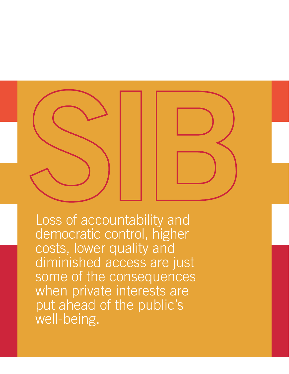

Loss of accountability and democratic control, higher costs, lower quality and diminished access are just some of the consequences when private interests are put ahead of the public's well-being.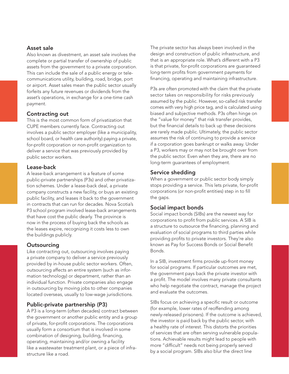#### Asset sale

Also known as divestment, an asset sale involves the complete or partial transfer of ownership of public assets from the government to a private corporation. This can include the sale of a public energy or telecommunications utility, building, road, bridge, port or airport. Asset sales mean the public sector usually forfeits any future revenues or dividends from the asset's operations, in exchange for a one-time cash payment.

#### Contracting out

This is the most common form of privatization that CUPE members currently face. Contracting out involves a public sector employer (like a municipality, school board, or health care authority) paying a private, for-profit corporation or non-profit organization to deliver a service that was previously provided by public sector workers.

#### Lease-back

A lease-back arrangement is a feature of some public-private partnerships (P3s) and other privatization schemes. Under a lease-back deal, a private company constructs a new facility, or buys an existing public facility, and leases it back to the government in contracts that can run for decades. Nova Scotia's P3 school program involved lease-back arrangements that have cost the public dearly. The province is now in the process of buying back the schools as the leases expire, recognizing it costs less to own the buildings publicly.

#### **Outsourcing**

Like contracting out, outsourcing involves paying a private company to deliver a service previously provided by in-house public sector workers. Often, outsourcing affects an entire system (such as information technology) or department, rather than an individual function. Private companies also engage in outsourcing by moving jobs to other companies located overseas, usually to low-wage jurisdictions.

#### Public-private partnership (P3)

A P3 is a long-term (often decades) contract between the government or another public entity and a group of private, for-profit corporations. The corporations usually form a consortium that is involved in some combination of designing, building, financing, operating, maintaining and/or owning a facility like a wastewater treatment plant, or a piece of infrastructure like a road.

The private sector has always been involved in the design and construction of public infrastructure, and that is an appropriate role. What's different with a P3 is that private, for-profit corporations are guaranteed long-term profits from government payments for financing, operating and maintaining infrastructure.

P3s are often promoted with the claim that the private sector takes on responsibility for risks previously assumed by the public. However, so-called risk transfer comes with very high price tag, and is calculated using biased and subjective methods. P3s often hinge on the "value for money" that risk transfer provides, but the financial details to back up these decisions are rarely made public. Ultimately, the public sector assumes the risk of continuing to provide a service if a corporation goes bankrupt or walks away. Under a P3, workers may or may not be brought over from the public sector. Even when they are, there are no long-term guarantees of employment.

#### Service shedding

When a government or public sector body simply stops providing a service. This lets private, for-profit corporations (or non-profit entities) step in to fill the gaps.

#### Social impact bonds

Social impact bonds (SIBs) are the newest way for corporations to profit from public services. A SIB is a structure to outsource the financing, planning and evaluation of social programs to third parties while providing profits to private investors. They're also known as Pay for Success Bonds or Social Benefit Bonds.

In a SIB, investment firms provide up-front money for social programs. If particular outcomes are met, the government pays back the private investor with a profit. The model involves many private consultants who help negotiate the contract, manage the project and evaluate the outcomes.

SIBs focus on achieving a specific result or outcome (for example, lower rates of reoffending among newly-released prisoners). If the outcome is achieved, the investor is paid back by the public sector, with a healthy rate of interest. This distorts the priorities of services that are often serving vulnerable populations. Achievable results might lead to people with more "difficult" needs not being properly served by a social program. SIBs also blur the direct line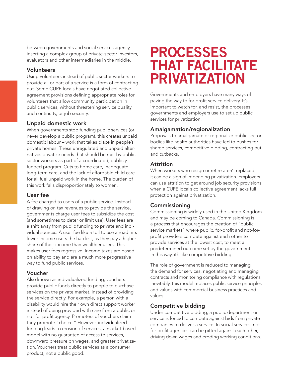between governments and social services agency, inserting a complex group of private-sector investors, evaluators and other intermediaries in the middle.

#### Volunteers

Using volunteers instead of public sector workers to provide all or part of a service is a form of contracting out. Some CUPE locals have negotiated collective agreement provisions defining appropriate roles for volunteers that allow community participation in public services, without threatening service quality and continuity, or job security.

#### Unpaid domestic work

When governments stop funding public services (or never develop a public program), this creates unpaid domestic labour – work that takes place in people's private homes. These unregulated and unpaid alternatives privatize needs that should be met by public sector workers as part of a coordinated, publiclyfunded program. Cuts to home care, inadequate long-term care, and the lack of affordable child care for all fuel unpaid work in the home. The burden of this work falls disproportionately to women.

#### User fee

A fee charged to users of a public service. Instead of drawing on tax revenues to provide the service, governments charge user fees to subsidize the cost (and sometimes to deter or limit use). User fees are a shift away from public funding to private and individual sources. A user fee like a toll to use a road hits lower-income users the hardest, as they pay a higher share of their income than wealthier users. This makes user fees regressive. Income taxes are based on ability to pay and are a much more progressive way to fund public services.

#### Voucher

Also known as individualized funding, vouchers provide public funds directly to people to purchase services on the private market, instead of providing the service directly. For example, a person with a disability would hire their own direct support worker instead of being provided with care from a public or not-for-profit agency. Promoters of vouchers claim they promote "choice." However, individualized funding leads to erosion of services, a market-based model with no guarantee of access to services, downward pressure on wages, and greater privatization. Vouchers treat public services as a consumer product, not a public good.

## **PROCESSES THAT FACILITATE PRIVATIZATION**

Governments and employers have many ways of paving the way to for-profit service delivery. It's important to watch for, and resist, the processes governments and employers use to set up public services for privatization.

#### Amalgamation/regionalization

Proposals to amalgamate or regionalize public sector bodies like health authorities have led to pushes for shared services, competitive bidding, contracting out and cutbacks.

#### Attrition

When workers who resign or retire aren't replaced, it can be a sign of impending privatization. Employers can use attrition to get around job security provisions when a CUPE local's collective agreement lacks full protection against privatization.

#### Commissioning

Commissioning is widely used in the United Kingdom and may be coming to Canada. Commissioning is a process that encourages the creation of "public service markets" where public, for-profit and not-forprofit providers compete against each other to provide services at the lowest cost, to meet a predetermined outcome set by the government. In this way, it's like competitive bidding.

The role of government is reduced to managing the demand for services, negotiating and managing contracts and monitoring compliance with regulations. Inevitably, this model replaces public service principles and values with commercial business practices and values.

#### Competitive bidding

Under competitive bidding, a public department or service is forced to compete against bids from private companies to deliver a service. In social services, notfor-profit agencies can be pitted against each other, driving down wages and eroding working conditions.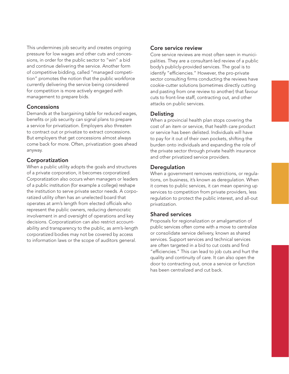This undermines job security and creates ongoing pressure for low wages and other cuts and concessions, in order for the public sector to "win" a bid and continue delivering the service. Another form of competitive bidding, called "managed competition" promotes the notion that the public workforce currently delivering the service being considered for competition is more actively engaged with management to prepare bids.

#### **Concessions**

Demands at the bargaining table for reduced wages, benefits or job security can signal plans to prepare a service for privatization. Employers also threaten to contract out or privatize to extract concessions. But employers that get concessions almost always come back for more. Often, privatization goes ahead anyway.

#### Corporatization

When a public utility adopts the goals and structures of a private corporation, it becomes corporatized. Corporatization also occurs when managers or leaders of a public institution (for example a college) reshape the institution to serve private sector needs. A corporatized utility often has an unelected board that operates at arm's length from elected officials who represent the public owners, reducing democratic involvement in and oversight of operations and key decisions. Corporatization can also restrict accountability and transparency to the public, as arm's-length corporatized bodies may not be covered by access to information laws or the scope of auditors general.

#### Core service review

Core service reviews are most often seen in municipalities. They are a consultant-led review of a public body's publicly-provided services. The goal is to identify "efficiencies." However, the pro-private sector consulting firms conducting the reviews have cookie-cutter solutions (sometimes directly cutting and pasting from one review to another) that favour cuts to front-line staff, contracting out, and other attacks on public services.

#### Delisting

When a provincial health plan stops covering the cost of an item or service, that health care product or service has been delisted. Individuals will have to pay for it out of their own pockets, shifting the burden onto individuals and expanding the role of the private sector through private health insurance and other privatized service providers.

#### **Deregulation**

When a government removes restrictions, or regulations, on business, it's known as deregulation. When it comes to public services, it can mean opening up services to competition from private providers, less regulation to protect the public interest, and all-out privatization.

#### Shared services

Proposals for regionalization or amalgamation of public services often come with a move to centralize or consolidate service delivery, known as shared services. Support services and technical services are often targeted in a bid to cut costs and find "efficiencies." This can lead to job cuts and hurt the quality and continuity of care. It can also open the door to contracting out, once a service or function has been centralized and cut back.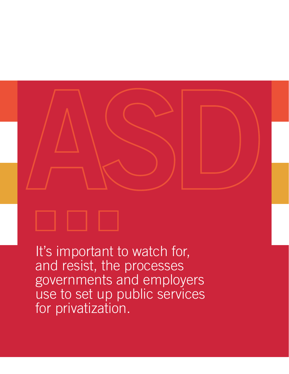

It's important to watch for, and resist, the processes governments and employers use to set up public services for privatization.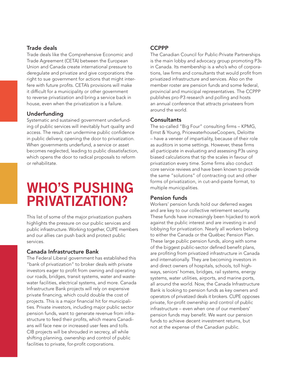#### Trade deals

Trade deals like the Comprehensive Economic and Trade Agreement (CETA) between the European Union and Canada create international pressure to deregulate and privatize and give corporations the right to sue government for actions that might interfere with future profits. CETA's provisions will make it difficult for a municipality or other government to reverse privatization and bring a service back in house, even when the privatization is a failure.

#### Underfunding

Systematic and sustained government underfunding of public services will inevitably hurt quality and access. The result can undermine public confidence in public delivery, opening the door to privatization. When governments underfund, a service or asset becomes neglected, leading to public dissatisfaction, which opens the door to radical proposals to reform or rehabilitate.

## **WHO'S PUSHING PRIVATIZATION?**

This list of some of the major privatization pushers highlights the pressure on our public services and public infrastructure. Working together, CUPE members and our allies can push back and protect public services.

#### Canada Infrastructure Bank

The Federal Liberal government has established this "bank of privatization" to broker deals with private investors eager to profit from owning and operating our roads, bridges, transit systems, water and wastewater facilities, electrical systems, and more. Canada Infrastructure Bank projects will rely on expensive private financing, which could double the cost of projects. This is a major financial hit for municipalities. Private investors, including major public sector pension funds, want to generate revenue from infrastructure to feed their profits, which means Canadians will face new or increased user fees and tolls. CIB projects will be shrouded in secrecy, all while shifting planning, ownership and control of public facilities to private, for-profit corporations.

#### **CCPPP**

The Canadian Council for Public-Private Partnerships is the main lobby and advocacy group promoting P3s in Canada. Its membership is a who's who of corporations, law firms and consultants that would profit from privatized infrastructure and services. Also on the member roster are pension funds and some federal, provincial and municipal representatives. The CCPPP publishes pro-P3 research and polling and hosts an annual conference that attracts privateers from around the world.

#### **Consultants**

The so-called "Big Four" consulting firms – KPMG, Ernst & Young, PricewaterhouseCoopers, Deloitte – have a veneer of impartiality, because of their role as auditors in some settings. However, these firms all participate in evaluating and assessing P3s using biased calculations that tip the scales in favour of privatization every time. Some firms also conduct core service reviews and have been known to provide the same "solutions" of contracting out and other forms of privatization, in cut-and-paste format, to multiple municipalities.

#### Pension funds

Workers' pension funds hold our deferred wages and are key to our collective retirement security. These funds have increasingly been hijacked to work against the public interest and are investing in and lobbying for privatization. Nearly all workers belong to either the Canada or the Québec Pension Plan. These large public pension funds, along with some of the biggest public-sector defined benefit plans, are profiting from privatized infrastructure in Canada and internationally. They are becoming investors in and direct owners of hospitals, schools, toll highways, seniors' homes, bridges, rail systems, energy systems, water utilities, airports, and marine ports, all around the world. Now, the Canada Infrastructure Bank is looking to pension funds as key owners and operators of privatized deals it brokers. CUPE opposes private, for-profit ownership and control of public infrastructure – even when one of our members' pension funds may benefit. We want our pension funds to achieve decent investment returns, but not at the expense of the Canadian public.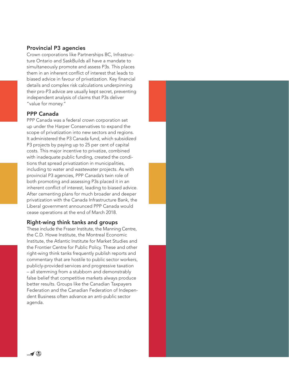#### Provincial P3 agencies

Crown corporations like Partnerships BC, Infrastructure Ontario and SaskBuilds all have a mandate to simultaneously promote and assess P3s. This places them in an inherent conflict of interest that leads to biased advice in favour of privatization. Key financial details and complex risk calculations underpinning their pro-P3 advice are usually kept secret, preventing independent analysis of claims that P3s deliver "value for money."

#### PPP Canada

PPP Canada was a federal crown corporation set up under the Harper Conservatives to expand the scope of privatization into new sectors and regions. It administered the P3 Canada fund, which subsidized P3 projects by paying up to 25 per cent of capital costs. This major incentive to privatize, combined with inadequate public funding, created the conditions that spread privatization in municipalities, including to water and wastewater projects. As with provincial P3 agencies, PPP Canada's twin role of both promoting and assessing P3s placed it in an inherent conflict of interest, leading to biased advice. After cementing plans for much broader and deeper privatization with the Canada Infrastructure Bank, the Liberal government announced PPP Canada would cease operations at the end of March 2018.

#### Right-wing think tanks and groups

These include the Fraser Institute, the Manning Centre, the C.D. Howe Institute, the Montreal Economic Institute, the Atlantic Institute for Market Studies and the Frontier Centre for Public Policy. These and other right-wing think tanks frequently publish reports and commentary that are hostile to public sector workers, publicly-provided services and progressive taxation – all stemming from a stubborn and demonstrably false belief that competitive markets always produce better results. Groups like the Canadian Taxpayers Federation and the Canadian Federation of Independent Business often advance an anti-public sector agenda.



 $\blacktriangleleft$  (8)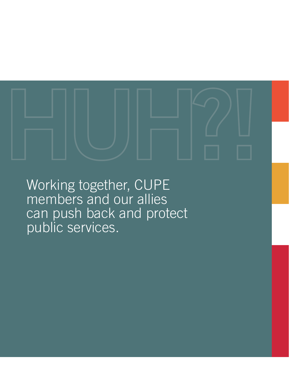Working together, CUPE members and our allies can push back and protect public services.